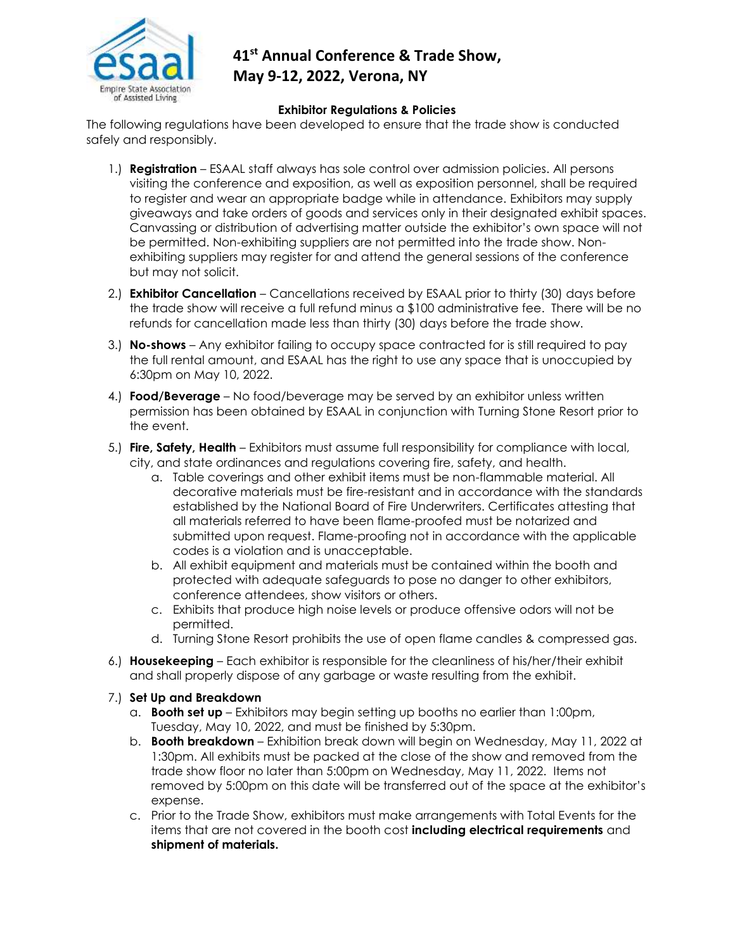

## **41st Annual Conference & Trade Show, May 9-12, 2022, Verona, NY**

## **Exhibitor Regulations & Policies**

The following regulations have been developed to ensure that the trade show is conducted safely and responsibly.

- 1.) **Registration**  ESAAL staff always has sole control over admission policies. All persons visiting the conference and exposition, as well as exposition personnel, shall be required to register and wear an appropriate badge while in attendance. Exhibitors may supply giveaways and take orders of goods and services only in their designated exhibit spaces. Canvassing or distribution of advertising matter outside the exhibitor's own space will not be permitted. Non-exhibiting suppliers are not permitted into the trade show. Nonexhibiting suppliers may register for and attend the general sessions of the conference but may not solicit.
- 2.) **Exhibitor Cancellation** Cancellations received by ESAAL prior to thirty (30) days before the trade show will receive a full refund minus a \$100 administrative fee. There will be no refunds for cancellation made less than thirty (30) days before the trade show.
- 3.) **No-shows** Any exhibitor failing to occupy space contracted for is still required to pay the full rental amount, and ESAAL has the right to use any space that is unoccupied by 6:30pm on May 10, 2022.
- 4.) **Food/Beverage** No food/beverage may be served by an exhibitor unless written permission has been obtained by ESAAL in conjunction with Turning Stone Resort prior to the event.
- 5.) **Fire, Safety, Health** Exhibitors must assume full responsibility for compliance with local, city, and state ordinances and regulations covering fire, safety, and health.
	- a. Table coverings and other exhibit items must be non-flammable material. All decorative materials must be fire-resistant and in accordance with the standards established by the National Board of Fire Underwriters. Certificates attesting that all materials referred to have been flame-proofed must be notarized and submitted upon request. Flame-proofing not in accordance with the applicable codes is a violation and is unacceptable.
	- b. All exhibit equipment and materials must be contained within the booth and protected with adequate safeguards to pose no danger to other exhibitors, conference attendees, show visitors or others.
	- c. Exhibits that produce high noise levels or produce offensive odors will not be permitted.
	- d. Turning Stone Resort prohibits the use of open flame candles & compressed gas.
- 6.) **Housekeeping** Each exhibitor is responsible for the cleanliness of his/her/their exhibit and shall properly dispose of any garbage or waste resulting from the exhibit.
- 7.) **Set Up and Breakdown**
	- a. **Booth set up**  Exhibitors may begin setting up booths no earlier than 1:00pm, Tuesday, May 10, 2022, and must be finished by 5:30pm.
	- b. **Booth breakdown** Exhibition break down will begin on Wednesday, May 11, 2022 at 1:30pm. All exhibits must be packed at the close of the show and removed from the trade show floor no later than 5:00pm on Wednesday, May 11, 2022. Items not removed by 5:00pm on this date will be transferred out of the space at the exhibitor's expense.
	- c. Prior to the Trade Show, exhibitors must make arrangements with Total Events for the items that are not covered in the booth cost **including electrical requirements** and **shipment of materials.**